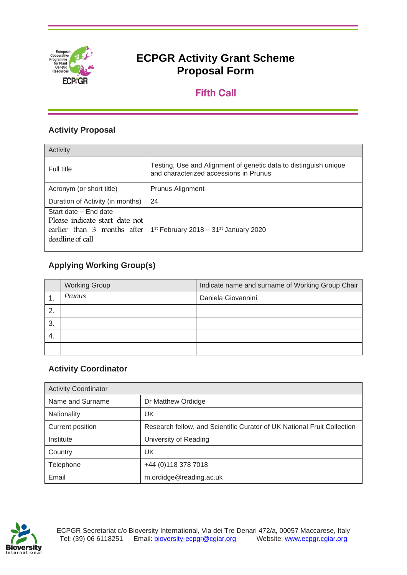

# **Fifth Call**

# **Activity Proposal**

| Activity                                                                                                   |                                                                                                            |
|------------------------------------------------------------------------------------------------------------|------------------------------------------------------------------------------------------------------------|
| Full title                                                                                                 | Testing, Use and Alignment of genetic data to distinguish unique<br>and characterized accessions in Prunus |
| Acronym (or short title)                                                                                   | Prunus Alignment                                                                                           |
| Duration of Activity (in months)                                                                           | 24                                                                                                         |
| Start date - End date<br>Please indicate start date not<br>earlier than 3 months after<br>deadline of call | 1 <sup>st</sup> February 2018 – 31 <sup>st</sup> January 2020                                              |

# **Applying Working Group(s)**

|     | <b>Working Group</b> | Indicate name and surname of Working Group Chair |
|-----|----------------------|--------------------------------------------------|
| . . | Prunus               | Daniela Giovannini                               |
| 2.  |                      |                                                  |
| 3.  |                      |                                                  |
| -4. |                      |                                                  |
|     |                      |                                                  |

# **Activity Coordinator**

| <b>Activity Coordinator</b> |                                                                         |
|-----------------------------|-------------------------------------------------------------------------|
| Name and Surname            | Dr Matthew Ordidge                                                      |
| Nationality                 | UK                                                                      |
| Current position            | Research fellow, and Scientific Curator of UK National Fruit Collection |
| Institute                   | University of Reading                                                   |
| Country                     | UK                                                                      |
| Telephone                   | +44 (0) 118 378 7018                                                    |
| Email                       | m.ordidge@reading.ac.uk                                                 |

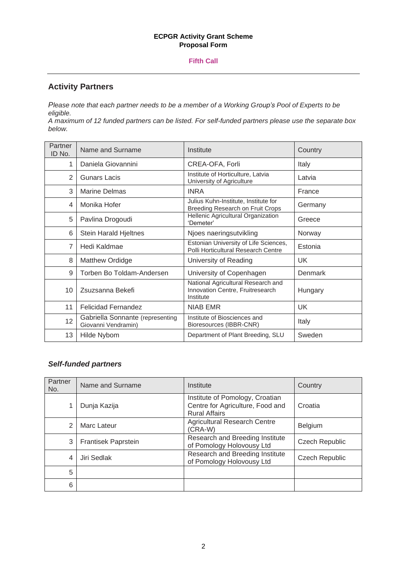#### **Fifth Call**

## **Activity Partners**

*Please note that each partner needs to be a member of a Working Group's Pool of Experts to be eligible.* 

*A maximum of 12 funded partners can be listed. For self-funded partners please use the separate box below.*

| Partner<br>ID No. | Name and Surname                                        | Institute                                                                           | Country   |
|-------------------|---------------------------------------------------------|-------------------------------------------------------------------------------------|-----------|
| 1                 | Daniela Giovannini                                      | CREA-OFA, Forli                                                                     | Italy     |
| $\overline{2}$    | <b>Gunars Lacis</b>                                     | Institute of Horticulture, Latvia<br>University of Agriculture                      | Latvia    |
| 3                 | <b>Marine Delmas</b>                                    | <b>INRA</b>                                                                         | France    |
| 4                 | Monika Hofer                                            | Julius Kuhn-Institute, Institute for<br>Breeding Research on Fruit Crops            | Germany   |
| 5                 | Pavlina Drogoudi                                        | Hellenic Agricultural Organization<br>'Demeter'                                     | Greece    |
| 6                 | <b>Stein Harald Hjeltnes</b>                            | Njoes naeringsutvikling                                                             | Norway    |
| $\overline{7}$    | Hedi Kaldmae                                            | Estonian University of Life Sciences,<br>Polli Horticultural Research Centre        | Estonia   |
| 8                 | Matthew Ordidge                                         | University of Reading                                                               | UK.       |
| 9                 | Torben Bo Toldam-Andersen                               | University of Copenhagen                                                            | Denmark   |
| 10                | Zsuzsanna Bekefi                                        | National Agricultural Research and<br>Innovation Centre, Fruitresearch<br>Institute | Hungary   |
| 11                | <b>Felicidad Fernandez</b>                              | <b>NIAB EMR</b>                                                                     | <b>UK</b> |
| 12                | Gabriella Sonnante (representing<br>Giovanni Vendramin) | Institute of Biosciences and<br>Bioresources (IBBR-CNR)                             | Italy     |
| 13                | Hilde Nybom                                             | Department of Plant Breeding, SLU                                                   | Sweden    |

### *Self-funded partners*

| Partner<br>No. | Name and Surname    | Institute                                                                                   | Country        |
|----------------|---------------------|---------------------------------------------------------------------------------------------|----------------|
|                | Dunja Kazija        | Institute of Pomology, Croatian<br>Centre for Agriculture, Food and<br><b>Rural Affairs</b> | Croatia        |
| 2              | Marc Lateur         | <b>Agricultural Research Centre</b><br>$(CRA-W)$                                            | <b>Belgium</b> |
| 3              | Frantisek Paprstein | Research and Breeding Institute<br>of Pomology Holovousy Ltd                                | Czech Republic |
| 4              | Jiri Sedlak         | Research and Breeding Institute<br>of Pomology Holovousy Ltd                                | Czech Republic |
| 5              |                     |                                                                                             |                |
| 6              |                     |                                                                                             |                |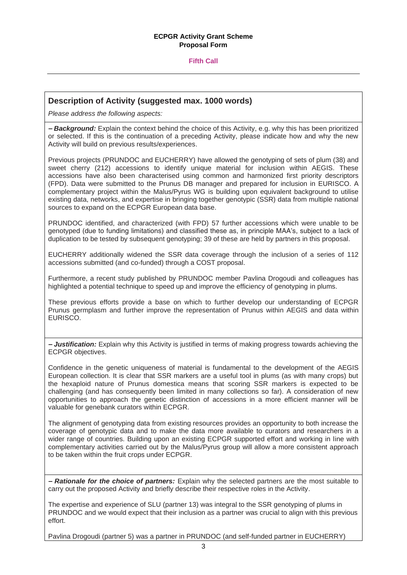#### **Fifth Call**

#### **Description of Activity (suggested max. 1000 words)**

*Please address the following aspects:* 

*– Background:* Explain the context behind the choice of this Activity, e.g. why this has been prioritized or selected. If this is the continuation of a preceding Activity, please indicate how and why the new Activity will build on previous results/experiences.

Previous projects (PRUNDOC and EUCHERRY) have allowed the genotyping of sets of plum (38) and sweet cherry (212) accessions to identify unique material for inclusion within AEGIS. These accessions have also been characterised using common and harmonized first priority descriptors (FPD). Data were submitted to the Prunus DB manager and prepared for inclusion in EURISCO. A complementary project within the Malus/Pyrus WG is building upon equivalent background to utilise existing data, networks, and expertise in bringing together genotypic (SSR) data from multiple national sources to expand on the ECPGR European data base.

PRUNDOC identified, and characterized (with FPD) 57 further accessions which were unable to be genotyped (due to funding limitations) and classified these as, in principle MAA's, subject to a lack of duplication to be tested by subsequent genotyping; 39 of these are held by partners in this proposal.

EUCHERRY additionally widened the SSR data coverage through the inclusion of a series of 112 accessions submitted (and co-funded) through a COST proposal.

Furthermore, a recent study published by PRUNDOC member Pavlina Drogoudi and colleagues has highlighted a potential technique to speed up and improve the efficiency of genotyping in plums.

These previous efforts provide a base on which to further develop our understanding of ECPGR Prunus germplasm and further improve the representation of Prunus within AEGIS and data within EURISCO.

*– Justification:* Explain why this Activity is justified in terms of making progress towards achieving the ECPGR objectives.

Confidence in the genetic uniqueness of material is fundamental to the development of the AEGIS European collection. It is clear that SSR markers are a useful tool in plums (as with many crops) but the hexaploid nature of Prunus domestica means that scoring SSR markers is expected to be challenging (and has consequently been limited in many collections so far). A consideration of new opportunities to approach the genetic distinction of accessions in a more efficient manner will be valuable for genebank curators within ECPGR.

The alignment of genotyping data from existing resources provides an opportunity to both increase the coverage of genotypic data and to make the data more available to curators and researchers in a wider range of countries. Building upon an existing ECPGR supported effort and working in line with complementary activities carried out by the Malus/Pyrus group will allow a more consistent approach to be taken within the fruit crops under ECPGR.

*– Rationale for the choice of partners:* Explain why the selected partners are the most suitable to carry out the proposed Activity and briefly describe their respective roles in the Activity.

The expertise and experience of SLU (partner 13) was integral to the SSR genotyping of plums in PRUNDOC and we would expect that their inclusion as a partner was crucial to align with this previous effort.

Pavlina Drogoudi (partner 5) was a partner in PRUNDOC (and self-funded partner in EUCHERRY)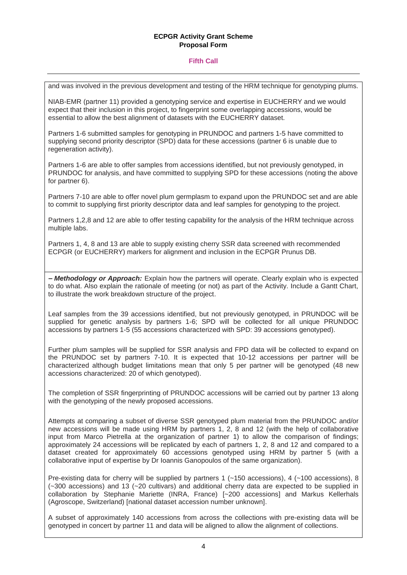#### **Fifth Call**

and was involved in the previous development and testing of the HRM technique for genotyping plums.

NIAB-EMR (partner 11) provided a genotyping service and expertise in EUCHERRY and we would expect that their inclusion in this project, to fingerprint some overlapping accessions, would be essential to allow the best alignment of datasets with the EUCHERRY dataset.

Partners 1-6 submitted samples for genotyping in PRUNDOC and partners 1-5 have committed to supplying second priority descriptor (SPD) data for these accessions (partner 6 is unable due to regeneration activity).

Partners 1-6 are able to offer samples from accessions identified, but not previously genotyped, in PRUNDOC for analysis, and have committed to supplying SPD for these accessions (noting the above for partner 6).

Partners 7-10 are able to offer novel plum germplasm to expand upon the PRUNDOC set and are able to commit to supplying first priority descriptor data and leaf samples for genotyping to the project.

Partners 1,2,8 and 12 are able to offer testing capability for the analysis of the HRM technique across multiple labs.

Partners 1, 4, 8 and 13 are able to supply existing cherry SSR data screened with recommended ECPGR (or EUCHERRY) markers for alignment and inclusion in the ECPGR Prunus DB.

*– Methodology or Approach:* Explain how the partners will operate. Clearly explain who is expected to do what. Also explain the rationale of meeting (or not) as part of the Activity. Include a Gantt Chart, to illustrate the work breakdown structure of the project.

Leaf samples from the 39 accessions identified, but not previously genotyped, in PRUNDOC will be supplied for genetic analysis by partners 1-6; SPD will be collected for all unique PRUNDOC accessions by partners 1-5 (55 accessions characterized with SPD: 39 accessions genotyped).

Further plum samples will be supplied for SSR analysis and FPD data will be collected to expand on the PRUNDOC set by partners 7-10. It is expected that 10-12 accessions per partner will be characterized although budget limitations mean that only 5 per partner will be genotyped (48 new accessions characterized: 20 of which genotyped).

The completion of SSR fingerprinting of PRUNDOC accessions will be carried out by partner 13 along with the genotyping of the newly proposed accessions.

Attempts at comparing a subset of diverse SSR genotyped plum material from the PRUNDOC and/or new accessions will be made using HRM by partners 1, 2, 8 and 12 (with the help of collaborative input from Marco Pietrella at the organization of partner 1) to allow the comparison of findings; approximately 24 accessions will be replicated by each of partners 1, 2, 8 and 12 and compared to a dataset created for approximately 60 accessions genotyped using HRM by partner 5 (with a collaborative input of expertise by Dr Ioannis Ganopoulos of the same organization).

Pre-existing data for cherry will be supplied by partners 1 (~150 accessions), 4 (~100 accessions), 8 (~300 accessions) and 13 (~20 cultivars) and additional cherry data are expected to be supplied in collaboration by Stephanie Mariette (INRA, France) [~200 accessions] and Markus Kellerhals (Agroscope, Switzerland) [national dataset accession number unknown].

A subset of approximately 140 accessions from across the collections with pre-existing data will be genotyped in concert by partner 11 and data will be aligned to allow the alignment of collections.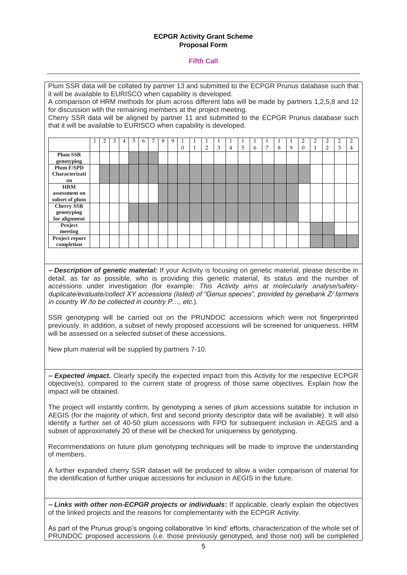#### **Fifth Call**

| Plum SSR data will be collated by partner 13 and submitted to the ECPGR Prunus database such that                                                                                     |   |   |   |   |   |   |   |   |   |          |   |   |   |   |   |   |   |   |   |          |   |   |   |   |
|---------------------------------------------------------------------------------------------------------------------------------------------------------------------------------------|---|---|---|---|---|---|---|---|---|----------|---|---|---|---|---|---|---|---|---|----------|---|---|---|---|
| it will be available to EURISCO when capability is developed.                                                                                                                         |   |   |   |   |   |   |   |   |   |          |   |   |   |   |   |   |   |   |   |          |   |   |   |   |
| A comparison of HRM methods for plum across different labs will be made by partners 1,2,5,8 and 12                                                                                    |   |   |   |   |   |   |   |   |   |          |   |   |   |   |   |   |   |   |   |          |   |   |   |   |
| for discussion with the remaining members at the project meeting.                                                                                                                     |   |   |   |   |   |   |   |   |   |          |   |   |   |   |   |   |   |   |   |          |   |   |   |   |
| Cherry SSR data will be aligned by partner 11 and submitted to the ECPGR Prunus database such                                                                                         |   |   |   |   |   |   |   |   |   |          |   |   |   |   |   |   |   |   |   |          |   |   |   |   |
| that it will be available to EURISCO when capability is developed.                                                                                                                    |   |   |   |   |   |   |   |   |   |          |   |   |   |   |   |   |   |   |   |          |   |   |   |   |
|                                                                                                                                                                                       |   |   |   |   |   |   |   |   |   |          |   |   |   |   |   |   |   |   |   |          |   |   |   |   |
|                                                                                                                                                                                       | 1 | 2 | 3 | 4 | 5 | 6 | 7 | 8 | 9 | 1        | 1 | 1 | 1 | 1 | 1 | 1 | 1 | 1 | 1 | 2        | 2 | 2 | 2 | 2 |
|                                                                                                                                                                                       |   |   |   |   |   |   |   |   |   | $\theta$ | 1 | 2 | 3 | 4 | 5 | 6 | 7 | 8 | 9 | $\theta$ | 1 | 2 | 3 | 4 |
| <b>Plum SSR</b><br>genotyping                                                                                                                                                         |   |   |   |   |   |   |   |   |   |          |   |   |   |   |   |   |   |   |   |          |   |   |   |   |
| Plum F/SPD                                                                                                                                                                            |   |   |   |   |   |   |   |   |   |          |   |   |   |   |   |   |   |   |   |          |   |   |   |   |
| Characterizati                                                                                                                                                                        |   |   |   |   |   |   |   |   |   |          |   |   |   |   |   |   |   |   |   |          |   |   |   |   |
| on                                                                                                                                                                                    |   |   |   |   |   |   |   |   |   |          |   |   |   |   |   |   |   |   |   |          |   |   |   |   |
| <b>HRM</b>                                                                                                                                                                            |   |   |   |   |   |   |   |   |   |          |   |   |   |   |   |   |   |   |   |          |   |   |   |   |
| assessment on                                                                                                                                                                         |   |   |   |   |   |   |   |   |   |          |   |   |   |   |   |   |   |   |   |          |   |   |   |   |
| subset of plum<br><b>Cherry SSR</b>                                                                                                                                                   |   |   |   |   |   |   |   |   |   |          |   |   |   |   |   |   |   |   |   |          |   |   |   |   |
| genotyping                                                                                                                                                                            |   |   |   |   |   |   |   |   |   |          |   |   |   |   |   |   |   |   |   |          |   |   |   |   |
| for alignment                                                                                                                                                                         |   |   |   |   |   |   |   |   |   |          |   |   |   |   |   |   |   |   |   |          |   |   |   |   |
| Project                                                                                                                                                                               |   |   |   |   |   |   |   |   |   |          |   |   |   |   |   |   |   |   |   |          |   |   |   |   |
| meeting<br>Project report                                                                                                                                                             |   |   |   |   |   |   |   |   |   |          |   |   |   |   |   |   |   |   |   |          |   |   |   |   |
| completion                                                                                                                                                                            |   |   |   |   |   |   |   |   |   |          |   |   |   |   |   |   |   |   |   |          |   |   |   |   |
|                                                                                                                                                                                       |   |   |   |   |   |   |   |   |   |          |   |   |   |   |   |   |   |   |   |          |   |   |   |   |
|                                                                                                                                                                                       |   |   |   |   |   |   |   |   |   |          |   |   |   |   |   |   |   |   |   |          |   |   |   |   |
|                                                                                                                                                                                       |   |   |   |   |   |   |   |   |   |          |   |   |   |   |   |   |   |   |   |          |   |   |   |   |
| - Description of genetic material: If your Activity is focusing on genetic material, please describe in                                                                               |   |   |   |   |   |   |   |   |   |          |   |   |   |   |   |   |   |   |   |          |   |   |   |   |
| detail, as far as possible, who is providing this genetic material, its status and the number of                                                                                      |   |   |   |   |   |   |   |   |   |          |   |   |   |   |   |   |   |   |   |          |   |   |   |   |
| accessions under investigation (for example: This Activity aims at molecularly analyse/safety-                                                                                        |   |   |   |   |   |   |   |   |   |          |   |   |   |   |   |   |   |   |   |          |   |   |   |   |
| duplicate/evaluate/collect XY accessions (listed) of "Genus species", provided by genebank Z/ farmers                                                                                 |   |   |   |   |   |   |   |   |   |          |   |   |   |   |   |   |   |   |   |          |   |   |   |   |
| in country W/to be collected in country P, etc.).                                                                                                                                     |   |   |   |   |   |   |   |   |   |          |   |   |   |   |   |   |   |   |   |          |   |   |   |   |
|                                                                                                                                                                                       |   |   |   |   |   |   |   |   |   |          |   |   |   |   |   |   |   |   |   |          |   |   |   |   |
| SSR genotyping will be carried out on the PRUNDOC accessions which were not fingerprinted                                                                                             |   |   |   |   |   |   |   |   |   |          |   |   |   |   |   |   |   |   |   |          |   |   |   |   |
| previously. In addition, a subset of newly proposed accessions will be screened for uniqueness. HRM                                                                                   |   |   |   |   |   |   |   |   |   |          |   |   |   |   |   |   |   |   |   |          |   |   |   |   |
| will be assessed on a selected subset of these accessions.                                                                                                                            |   |   |   |   |   |   |   |   |   |          |   |   |   |   |   |   |   |   |   |          |   |   |   |   |
|                                                                                                                                                                                       |   |   |   |   |   |   |   |   |   |          |   |   |   |   |   |   |   |   |   |          |   |   |   |   |
| New plum material will be supplied by partners 7-10.                                                                                                                                  |   |   |   |   |   |   |   |   |   |          |   |   |   |   |   |   |   |   |   |          |   |   |   |   |
|                                                                                                                                                                                       |   |   |   |   |   |   |   |   |   |          |   |   |   |   |   |   |   |   |   |          |   |   |   |   |
|                                                                                                                                                                                       |   |   |   |   |   |   |   |   |   |          |   |   |   |   |   |   |   |   |   |          |   |   |   |   |
| - <b>Expected impact.</b> Clearly specify the expected impact from this Activity for the respective ECPGR                                                                             |   |   |   |   |   |   |   |   |   |          |   |   |   |   |   |   |   |   |   |          |   |   |   |   |
| objective(s), compared to the current state of progress of those same objectives. Explain how the                                                                                     |   |   |   |   |   |   |   |   |   |          |   |   |   |   |   |   |   |   |   |          |   |   |   |   |
| impact will be obtained.                                                                                                                                                              |   |   |   |   |   |   |   |   |   |          |   |   |   |   |   |   |   |   |   |          |   |   |   |   |
|                                                                                                                                                                                       |   |   |   |   |   |   |   |   |   |          |   |   |   |   |   |   |   |   |   |          |   |   |   |   |
|                                                                                                                                                                                       |   |   |   |   |   |   |   |   |   |          |   |   |   |   |   |   |   |   |   |          |   |   |   |   |
| The project will instantly confirm, by genotyping a series of plum accessions suitable for inclusion in                                                                               |   |   |   |   |   |   |   |   |   |          |   |   |   |   |   |   |   |   |   |          |   |   |   |   |
| AEGIS (for the majority of which, first and second priority descriptor data will be available). It will also                                                                          |   |   |   |   |   |   |   |   |   |          |   |   |   |   |   |   |   |   |   |          |   |   |   |   |
| identify a further set of 40-50 plum accessions with FPD for subsequent inclusion in AEGIS and a<br>subset of approximately 20 of these will be checked for uniqueness by genotyping. |   |   |   |   |   |   |   |   |   |          |   |   |   |   |   |   |   |   |   |          |   |   |   |   |
|                                                                                                                                                                                       |   |   |   |   |   |   |   |   |   |          |   |   |   |   |   |   |   |   |   |          |   |   |   |   |
|                                                                                                                                                                                       |   |   |   |   |   |   |   |   |   |          |   |   |   |   |   |   |   |   |   |          |   |   |   |   |
| Recommendations on future plum genotyping techniques will be made to improve the understanding                                                                                        |   |   |   |   |   |   |   |   |   |          |   |   |   |   |   |   |   |   |   |          |   |   |   |   |
| of members.                                                                                                                                                                           |   |   |   |   |   |   |   |   |   |          |   |   |   |   |   |   |   |   |   |          |   |   |   |   |
|                                                                                                                                                                                       |   |   |   |   |   |   |   |   |   |          |   |   |   |   |   |   |   |   |   |          |   |   |   |   |
| A further expanded cherry SSR dataset will be produced to allow a wider comparison of material for                                                                                    |   |   |   |   |   |   |   |   |   |          |   |   |   |   |   |   |   |   |   |          |   |   |   |   |
| the identification of further unique accessions for inclusion in AEGIS in the future.                                                                                                 |   |   |   |   |   |   |   |   |   |          |   |   |   |   |   |   |   |   |   |          |   |   |   |   |

*– Links with other non-ECPGR projects or individuals***:** If applicable, clearly explain the objectives of the linked projects and the reasons for complementarity with the ECPGR Activity.

As part of the Prunus group's ongoing collaborative 'in kind' efforts, characterization of the whole set of PRUNDOC proposed accessions (i.e. those previously genotyped, and those not) will be completed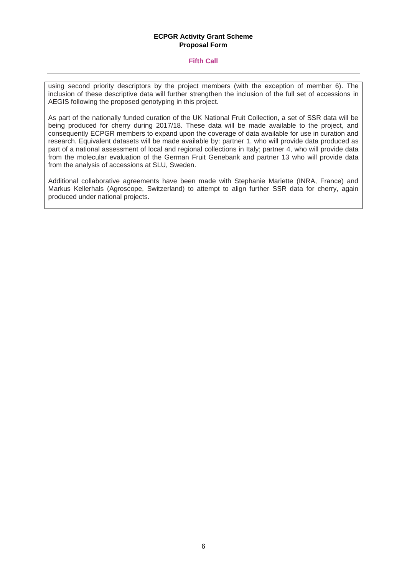#### **Fifth Call**

using second priority descriptors by the project members (with the exception of member 6). The inclusion of these descriptive data will further strengthen the inclusion of the full set of accessions in AEGIS following the proposed genotyping in this project.

As part of the nationally funded curation of the UK National Fruit Collection, a set of SSR data will be being produced for cherry during 2017/18. These data will be made available to the project, and consequently ECPGR members to expand upon the coverage of data available for use in curation and research. Equivalent datasets will be made available by: partner 1, who will provide data produced as part of a national assessment of local and regional collections in Italy; partner 4, who will provide data from the molecular evaluation of the German Fruit Genebank and partner 13 who will provide data from the analysis of accessions at SLU, Sweden.

Additional collaborative agreements have been made with Stephanie Mariette (INRA, France) and Markus Kellerhals (Agroscope, Switzerland) to attempt to align further SSR data for cherry, again produced under national projects.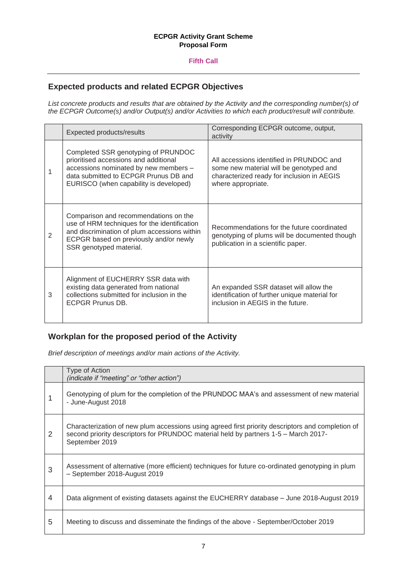#### **Fifth Call**

## **Expected products and related ECPGR Objectives**

*List concrete products and results that are obtained by the Activity and the corresponding number(s) of the ECPGR Outcome(s) and/or Output(s) and/or Activities to which each product/result will contribute.*

|                | Expected products/results                                                                                                                                                                                  | Corresponding ECPGR outcome, output,<br>activity                                                                                                        |
|----------------|------------------------------------------------------------------------------------------------------------------------------------------------------------------------------------------------------------|---------------------------------------------------------------------------------------------------------------------------------------------------------|
|                | Completed SSR genotyping of PRUNDOC<br>prioritised accessions and additional<br>accessions nominated by new members -<br>data submitted to ECPGR Prunus DB and<br>EURISCO (when capability is developed)   | All accessions identified in PRUNDOC and<br>some new material will be genotyped and<br>characterized ready for inclusion in AEGIS<br>where appropriate. |
| $\overline{2}$ | Comparison and recommendations on the<br>use of HRM techniques for the identification<br>and discrimination of plum accessions within<br>ECPGR based on previously and/or newly<br>SSR genotyped material. | Recommendations for the future coordinated<br>genotyping of plums will be documented though<br>publication in a scientific paper.                       |
| 3              | Alignment of EUCHERRY SSR data with<br>existing data generated from national<br>collections submitted for inclusion in the<br>ECPGR Prunus DB.                                                             | An expanded SSR dataset will allow the<br>identification of further unique material for<br>inclusion in AEGIS in the future.                            |

### **Workplan for the proposed period of the Activity**

*Brief description of meetings and/or main actions of the Activity.* 

|   | Type of Action<br>(indicate if "meeting" or "other action")                                                                                                                                                |
|---|------------------------------------------------------------------------------------------------------------------------------------------------------------------------------------------------------------|
|   | Genotyping of plum for the completion of the PRUNDOC MAA's and assessment of new material<br>- June-August 2018                                                                                            |
| 2 | Characterization of new plum accessions using agreed first priority descriptors and completion of<br>second priority descriptors for PRUNDOC material held by partners 1-5 - March 2017-<br>September 2019 |
| 3 | Assessment of alternative (more efficient) techniques for future co-ordinated genotyping in plum<br>- September 2018-August 2019                                                                           |
| 4 | Data alignment of existing datasets against the EUCHERRY database – June 2018-August 2019                                                                                                                  |
| 5 | Meeting to discuss and disseminate the findings of the above - September/October 2019                                                                                                                      |